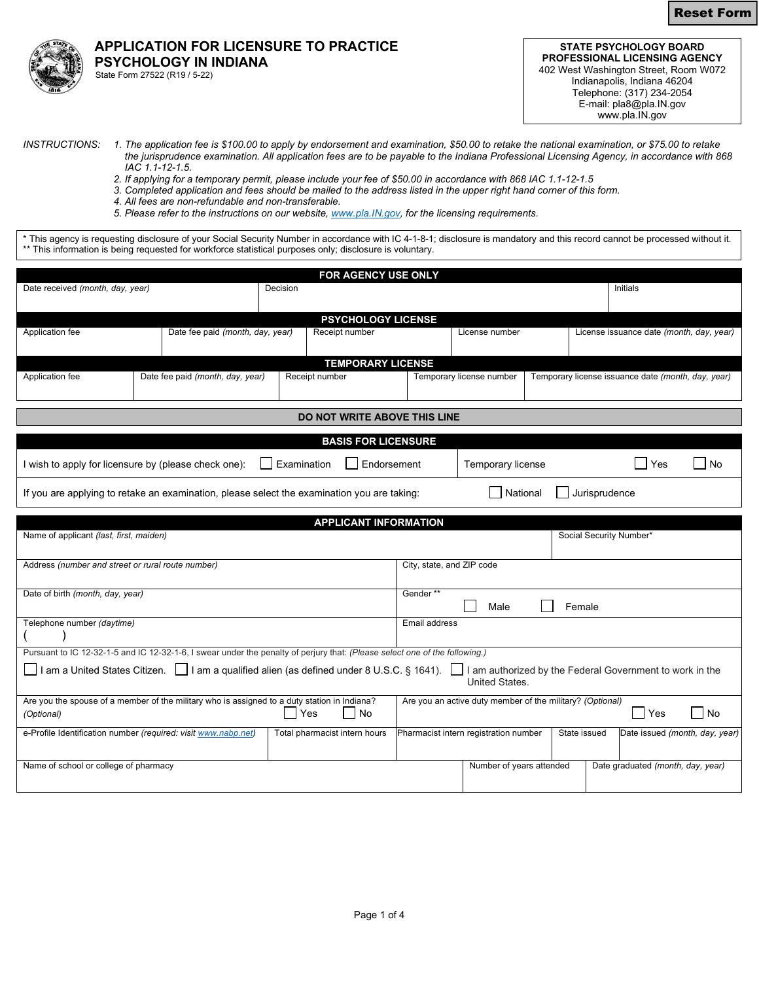Reset Form



## **APPLICATION FOR LICENSURE TO PRACTICE PSYCHOLOGY IN INDIANA**  State Form 27522 (R19 / 5-22)

**STATE PSYCHOLOGY BOARD PROFESSIONAL LICENSING AGENCY** 402 West Washington Street, Room W072 Indianapolis, Indiana 46204 Telephone: (317) 234-2054 E-mail: pla8@pla.IN.gov www.pla.IN.gov

- *INSTRUCTIONS: 1. The application fee is \$100.00 to apply by endorsement and examination, \$50.00 to retake the national examination, or \$75.00 to retake the jurisprudence examination. All application fees are to be payable to the Indiana Professional Licensing Agency, in accordance with 868 IAC 1.1-12-1.5.* 
	- *2. If applying for a temporary permit, please include your fee of \$50.00 in accordance with 868 IAC 1.1-12-1.5*
	- *3. Completed application and fees should be mailed to the address listed in the upper right hand corner of this form.*
	- *4. All fees are non-refundable and non-transferable.*
	- *5. Please refer to the instructions on our website[, www.pla.IN.gov,](http://www.pla.in.gov/) for the licensing requirements.*

\* This agency is requesting disclosure of your Social Security Number in accordance with IC 4-1-8-1; disclosure is mandatory and this record cannot be processed without it. \*\* This information is being requested for workforce statistical purposes only; disclosure is voluntary.

|                                                                                                                                                                          |  |                                  |                |                               | FOR AGENCY USE ONLY        |                            |                                                           |  |                                                    |                                          |    |
|--------------------------------------------------------------------------------------------------------------------------------------------------------------------------|--|----------------------------------|----------------|-------------------------------|----------------------------|----------------------------|-----------------------------------------------------------|--|----------------------------------------------------|------------------------------------------|----|
| Date received (month, day, year)                                                                                                                                         |  |                                  | Decision       |                               |                            |                            |                                                           |  | Initials                                           |                                          |    |
|                                                                                                                                                                          |  |                                  |                |                               |                            |                            |                                                           |  |                                                    |                                          |    |
|                                                                                                                                                                          |  |                                  |                |                               | <b>PSYCHOLOGY LICENSE</b>  |                            |                                                           |  |                                                    |                                          |    |
| Application fee                                                                                                                                                          |  | Date fee paid (month, day, year) |                | Receipt number                |                            |                            | License number                                            |  |                                                    | License issuance date (month, day, year) |    |
| <b>TEMPORARY LICENSE</b>                                                                                                                                                 |  |                                  |                |                               |                            |                            |                                                           |  |                                                    |                                          |    |
| Application fee                                                                                                                                                          |  | Date fee paid (month, day, year) | Receipt number |                               |                            | Temporary license number   |                                                           |  | Temporary license issuance date (month, day, year) |                                          |    |
| <b>DO NOT WRITE ABOVE THIS LINE</b>                                                                                                                                      |  |                                  |                |                               |                            |                            |                                                           |  |                                                    |                                          |    |
|                                                                                                                                                                          |  |                                  |                |                               |                            |                            |                                                           |  |                                                    |                                          |    |
|                                                                                                                                                                          |  |                                  |                |                               | <b>BASIS FOR LICENSURE</b> |                            |                                                           |  |                                                    |                                          |    |
| Examination<br>I wish to apply for licensure by (please check one):                                                                                                      |  |                                  |                | Endorsement                   |                            | Temporary license<br>Yes   |                                                           |  | No                                                 |                                          |    |
| National<br>Jurisprudence<br>If you are applying to retake an examination, please select the examination you are taking:                                                 |  |                                  |                |                               |                            |                            |                                                           |  |                                                    |                                          |    |
| <b>APPLICANT INFORMATION</b>                                                                                                                                             |  |                                  |                |                               |                            |                            |                                                           |  |                                                    |                                          |    |
| Name of applicant (last, first, maiden)                                                                                                                                  |  |                                  |                |                               |                            |                            |                                                           |  | Social Security Number*                            |                                          |    |
| Address (number and street or rural route number)                                                                                                                        |  |                                  |                |                               |                            | City, state, and ZIP code  |                                                           |  |                                                    |                                          |    |
| Date of birth (month, day, year)                                                                                                                                         |  |                                  |                |                               |                            | Gender**<br>Male<br>Female |                                                           |  |                                                    |                                          |    |
| Telephone number (daytime)                                                                                                                                               |  |                                  |                |                               |                            | Email address              |                                                           |  |                                                    |                                          |    |
| Pursuant to IC 12-32-1-5 and IC 12-32-1-6, I swear under the penalty of perjury that: (Please select one of the following.)                                              |  |                                  |                |                               |                            |                            |                                                           |  |                                                    |                                          |    |
| 1 am a United States Citizen. □ I am a qualified alien (as defined under 8 U.S.C. § 1641).<br>I am authorized by the Federal Government to work in the<br>United States. |  |                                  |                |                               |                            |                            |                                                           |  |                                                    |                                          |    |
| Are you the spouse of a member of the military who is assigned to a duty station in Indiana?<br>(Optional)                                                               |  |                                  | Yes            |                               | <b>No</b>                  |                            | Are you an active duty member of the military? (Optional) |  |                                                    | Yes                                      | No |
| e-Profile Identification number (required: visit www.nabp.net)                                                                                                           |  |                                  |                | Total pharmacist intern hours |                            |                            | Pharmacist intern registration number                     |  | State issued                                       | Date issued (month, day, year)           |    |
| Name of school or college of pharmacy                                                                                                                                    |  |                                  |                |                               |                            |                            | Number of years attended                                  |  |                                                    | Date graduated (month, day, year)        |    |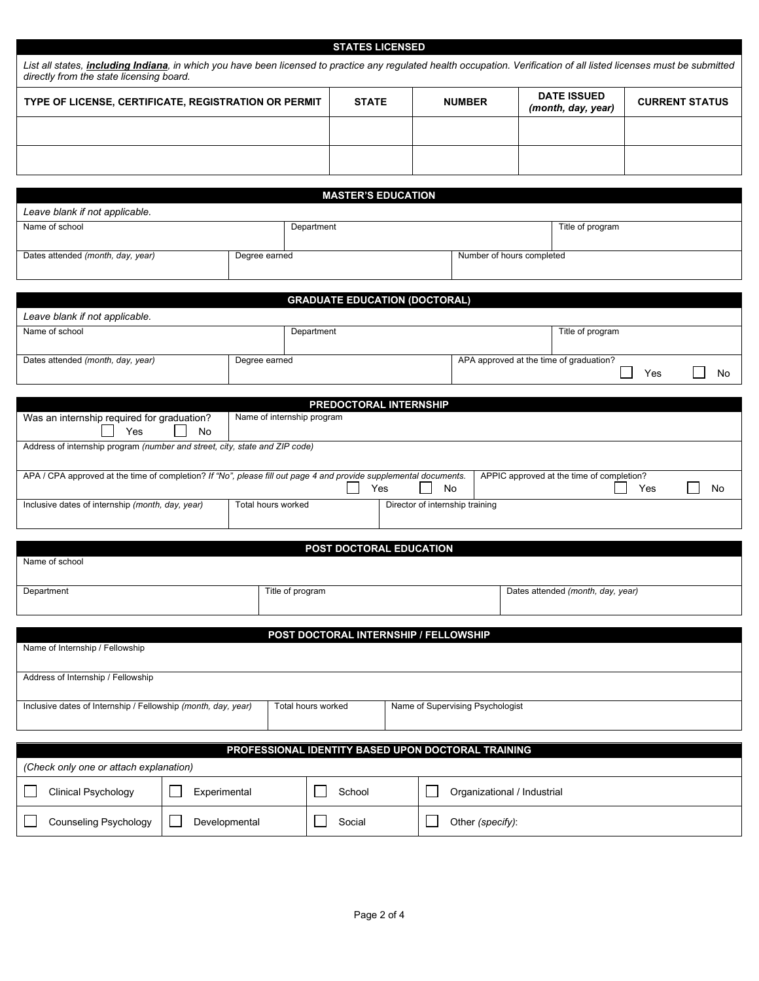|                                                                                                                                                                                                                            |                                                    | <b>STATES LICENSED</b>      |                                       |                                 |                                                      |                       |  |  |  |
|----------------------------------------------------------------------------------------------------------------------------------------------------------------------------------------------------------------------------|----------------------------------------------------|-----------------------------|---------------------------------------|---------------------------------|------------------------------------------------------|-----------------------|--|--|--|
| List all states, <i>including Indiana</i> , in which you have been licensed to practice any regulated health occupation. Verification of all listed licenses must be submitted<br>directly from the state licensing board. |                                                    |                             |                                       |                                 |                                                      |                       |  |  |  |
| TYPE OF LICENSE, CERTIFICATE, REGISTRATION OR PERMIT                                                                                                                                                                       |                                                    | <b>STATE</b>                | <b>NUMBER</b>                         |                                 | <b>DATE ISSUED</b><br>(month, day, year)             | <b>CURRENT STATUS</b> |  |  |  |
|                                                                                                                                                                                                                            |                                                    |                             |                                       |                                 |                                                      |                       |  |  |  |
|                                                                                                                                                                                                                            |                                                    |                             |                                       |                                 |                                                      |                       |  |  |  |
|                                                                                                                                                                                                                            |                                                    |                             |                                       |                                 |                                                      |                       |  |  |  |
| Leave blank if not applicable.                                                                                                                                                                                             |                                                    | <b>MASTER'S EDUCATION</b>   |                                       |                                 |                                                      |                       |  |  |  |
| Name of school                                                                                                                                                                                                             | Department                                         |                             |                                       |                                 | Title of program                                     |                       |  |  |  |
| Dates attended (month, day, year)                                                                                                                                                                                          | Degree earned                                      |                             |                                       |                                 | Number of hours completed                            |                       |  |  |  |
|                                                                                                                                                                                                                            |                                                    |                             |                                       |                                 |                                                      |                       |  |  |  |
| Leave blank if not applicable.                                                                                                                                                                                             |                                                    |                             | <b>GRADUATE EDUCATION (DOCTORAL)</b>  |                                 |                                                      |                       |  |  |  |
| Name of school                                                                                                                                                                                                             |                                                    | Department                  |                                       |                                 | Title of program                                     |                       |  |  |  |
| Dates attended (month, day, year)                                                                                                                                                                                          | Degree earned                                      |                             |                                       |                                 | APA approved at the time of graduation?<br>No<br>Yes |                       |  |  |  |
|                                                                                                                                                                                                                            |                                                    |                             |                                       |                                 |                                                      |                       |  |  |  |
|                                                                                                                                                                                                                            |                                                    | PREDOCTORAL INTERNSHIP      |                                       |                                 |                                                      |                       |  |  |  |
| Was an internship required for graduation?<br>Yes<br>No                                                                                                                                                                    | Name of internship program                         |                             |                                       |                                 |                                                      |                       |  |  |  |
| Address of internship program (number and street, city, state and ZIP code)                                                                                                                                                |                                                    |                             |                                       |                                 |                                                      |                       |  |  |  |
| APA / CPA approved at the time of completion? If "No", please fill out page 4 and provide supplemental documents.                                                                                                          |                                                    | Yes                         | No                                    |                                 | APPIC approved at the time of completion?            | Yes<br>No             |  |  |  |
| Inclusive dates of internship (month, day, year)                                                                                                                                                                           | Total hours worked                                 |                             |                                       | Director of internship training |                                                      |                       |  |  |  |
|                                                                                                                                                                                                                            |                                                    |                             |                                       |                                 |                                                      |                       |  |  |  |
| Name of school                                                                                                                                                                                                             |                                                    |                             | POST DOCTORAL EDUCATION               |                                 |                                                      |                       |  |  |  |
| Department                                                                                                                                                                                                                 | Title of program                                   |                             |                                       |                                 | Dates attended (month, day, year)                    |                       |  |  |  |
|                                                                                                                                                                                                                            |                                                    |                             |                                       |                                 |                                                      |                       |  |  |  |
| Name of Internship / Fellowship                                                                                                                                                                                            |                                                    |                             | POST DOCTORAL INTERNSHIP / FELLOWSHIP |                                 |                                                      |                       |  |  |  |
| Address of Internship / Fellowship                                                                                                                                                                                         |                                                    |                             |                                       |                                 |                                                      |                       |  |  |  |
|                                                                                                                                                                                                                            |                                                    |                             |                                       |                                 |                                                      |                       |  |  |  |
| Inclusive dates of Internship / Fellowship (month, day, year)                                                                                                                                                              | Total hours worked                                 |                             | Name of Supervising Psychologist      |                                 |                                                      |                       |  |  |  |
|                                                                                                                                                                                                                            | PROFESSIONAL IDENTITY BASED UPON DOCTORAL TRAINING |                             |                                       |                                 |                                                      |                       |  |  |  |
| (Check only one or attach explanation)                                                                                                                                                                                     |                                                    |                             |                                       |                                 |                                                      |                       |  |  |  |
| $\Box$<br><b>Clinical Psychology</b><br>Experimental<br>I.                                                                                                                                                                 | School                                             | Organizational / Industrial |                                       |                                 |                                                      |                       |  |  |  |
| <b>Counseling Psychology</b><br>Developmental                                                                                                                                                                              | Social                                             |                             | Other (specify):                      |                                 |                                                      |                       |  |  |  |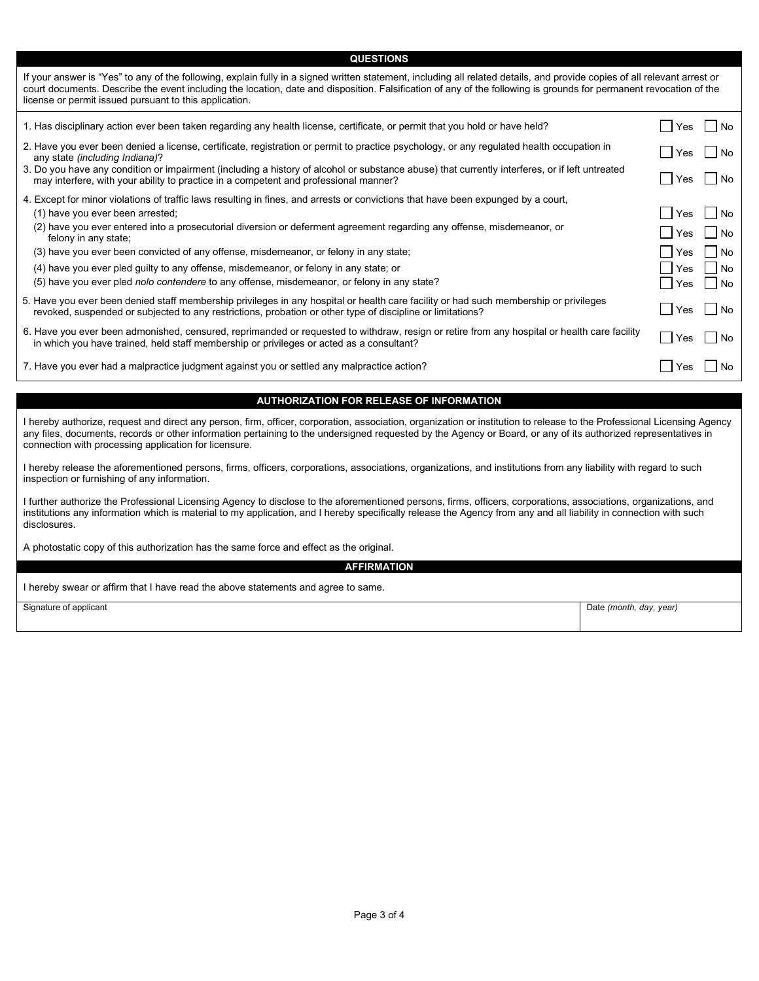**QUESTIONS**

If your answer is "Yes" to any of the following, explain fully in a signed written statement, including all related details, and provide copies of all relevant arrest or court documents. Describe the event including the location, date and disposition. Falsification of any of the following is grounds for permanent revocation of the license or permit issued pursuant to this application.

| 1. Has disciplinary action ever been taken regarding any health license, certificate, or permit that you hold or have held?                                                                                                                         | Yes                   | l No  |
|-----------------------------------------------------------------------------------------------------------------------------------------------------------------------------------------------------------------------------------------------------|-----------------------|-------|
| 2. Have you ever been denied a license, certificate, registration or permit to practice psychology, or any regulated health occupation in<br>any state <i>(including Indiana)</i> ?                                                                 | $\blacksquare$<br>Yes | l INo |
| 3. Do you have any condition or impairment (including a history of alcohol or substance abuse) that currently interferes, or if left untreated<br>may interfere, with your ability to practice in a competent and professional manner?              | l Yes                 | l No  |
| 4. Except for minor violations of traffic laws resulting in fines, and arrests or convictions that have been expunged by a court,                                                                                                                   |                       |       |
| (1) have you ever been arrested;                                                                                                                                                                                                                    | Yes                   | l No  |
| (2) have you ever entered into a prosecutorial diversion or deferment agreement regarding any offense, misdemeanor, or<br>felony in any state;                                                                                                      | Yes                   | l INo |
| (3) have you ever been convicted of any offense, misdemeanor, or felony in any state;                                                                                                                                                               | Yes                   | l INo |
| (4) have you ever pled guilty to any offense, misdemeanor, or felony in any state; or                                                                                                                                                               | Yes                   | l No  |
| (5) have you ever pled <i>nolo contendere</i> to any offense, misdemeanor, or felony in any state?                                                                                                                                                  | Yes                   | l No  |
| 5. Have you ever been denied staff membership privileges in any hospital or health care facility or had such membership or privileges<br>revoked, suspended or subjected to any restrictions, probation or other type of discipline or limitations? | l Yes                 | l INo |
| 6. Have you ever been admonished, censured, reprimanded or requested to withdraw, resign or retire from any hospital or health care facility<br>in which you have trained, held staff membership or privileges or acted as a consultant?            | Yes                   | l No  |
| 7. Have you ever had a malpractice judgment against you or settled any malpractice action?                                                                                                                                                          | Yes                   | No.   |

## **AUTHORIZATION FOR RELEASE OF INFORMATION**

I hereby authorize, request and direct any person, firm, officer, corporation, association, organization or institution to release to the Professional Licensing Agency any files, documents, records or other information pertaining to the undersigned requested by the Agency or Board, or any of its authorized representatives in connection with processing application for licensure.

I hereby release the aforementioned persons, firms, officers, corporations, associations, organizations, and institutions from any liability with regard to such inspection or furnishing of any information.

I further authorize the Professional Licensing Agency to disclose to the aforementioned persons, firms, officers, corporations, associations, organizations, and institutions any information which is material to my application, and I hereby specifically release the Agency from any and all liability in connection with such disclosures.

A photostatic copy of this authorization has the same force and effect as the original.

**AFFIRMATION**

I hereby swear or affirm that I have read the above statements and agree to same.

Signature of applicant **Date** *(month, day, year)* Date *(month, day, year)*